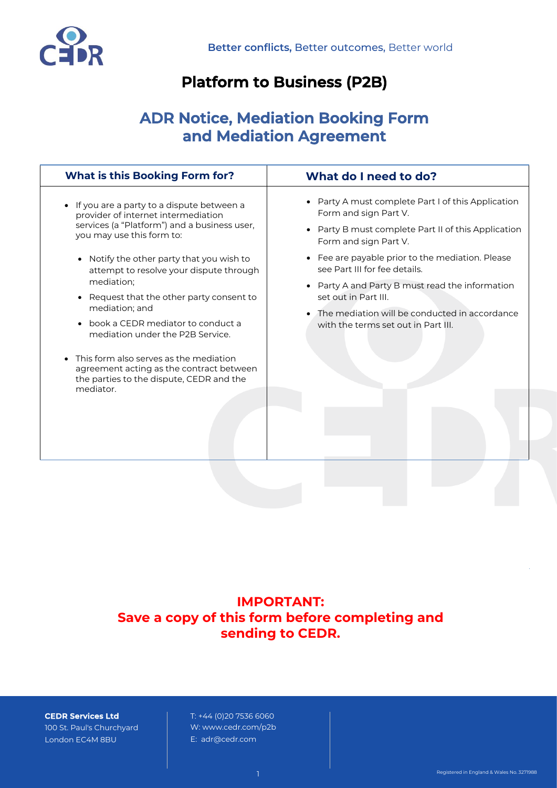

# **Platform to Business (P2B)**

# **ADR Notice, Mediation Booking Form and Mediation Agreement**

| <b>What is this Booking Form for?</b>                                                                                                       | What do I need to do?                                                                   |
|---------------------------------------------------------------------------------------------------------------------------------------------|-----------------------------------------------------------------------------------------|
| If you are a party to a dispute between a<br>provider of internet intermediation                                                            | • Party A must complete Part I of this Application<br>Form and sign Part V.             |
| services (a "Platform") and a business user,<br>you may use this form to:                                                                   | Party B must complete Part II of this Application<br>$\bullet$<br>Form and sign Part V. |
| • Notify the other party that you wish to<br>attempt to resolve your dispute through                                                        | • Fee are payable prior to the mediation. Please<br>see Part III for fee details.       |
| mediation;<br>Request that the other party consent to<br>$\bullet$<br>mediation; and                                                        | Party A and Party B must read the information<br>set out in Part III.                   |
| book a CEDR mediator to conduct a<br>$\bullet$<br>mediation under the P2B Service.                                                          | The mediation will be conducted in accordance<br>with the terms set out in Part III.    |
| This form also serves as the mediation<br>agreement acting as the contract between<br>the parties to the dispute, CEDR and the<br>mediator. |                                                                                         |
|                                                                                                                                             |                                                                                         |
|                                                                                                                                             |                                                                                         |
|                                                                                                                                             |                                                                                         |

**IMPORTANT: Save a copy of this form before completing and sending to CEDR.**

**CEDR Services Ltd** 100 St. Paul's Churchyard London EC4M 8BU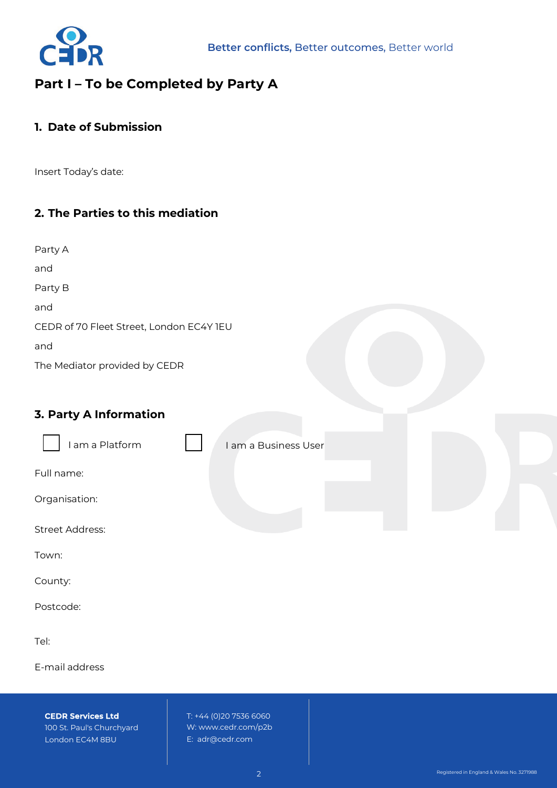

# **Part I – To be Completed by Party A**

### **1. Date of Submission**

Insert Today's date:

## **2. The Parties to this mediation**

| Party A |  |
|---------|--|
| and     |  |
| Party B |  |
| and     |  |

CEDR of 70 Fleet Street, London EC4Y 1EU

and

The Mediator provided by CEDR

## **3. Party A Information**

| I am a Platform | I am a Business User |  |
|-----------------|----------------------|--|
| Full name:      |                      |  |
| Organisation:   |                      |  |
| Street Address: |                      |  |
| Town:           |                      |  |

County:

Postcode:

Tel:

E-mail address

**CEDR Services Ltd** 100 St. Paul's Churchyard London EC4M 8BU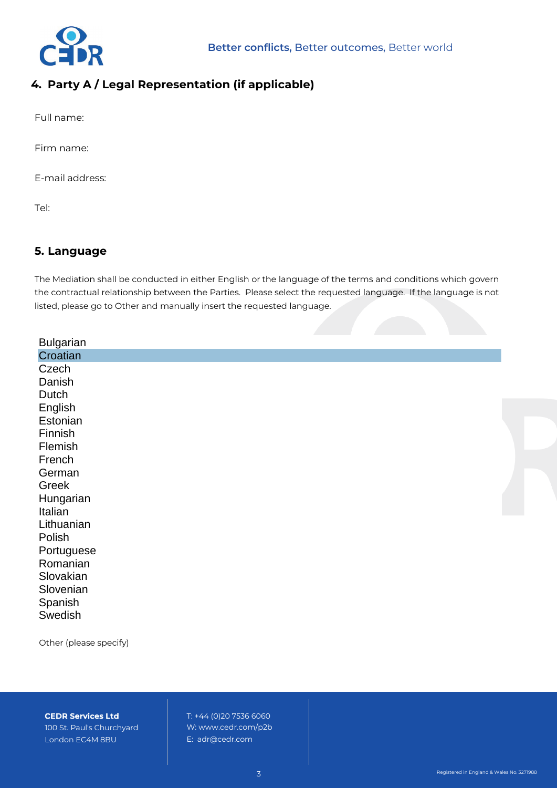

## **4. Party A / Legal Representation (if applicable)**

Full name:

Firm name:

E-mail address:

Tel:

## **5. Language**

The Mediation shall be conducted in either English or the language of the terms and conditions which govern the contractual relationship between the Parties. Please select the requested language. If the language is not listed, please go to Other and manually insert the requested language.

| <b>Bulgarian</b> |  |  |
|------------------|--|--|
| Croatian         |  |  |
| Czech            |  |  |
| Danish           |  |  |
| Dutch            |  |  |
| English          |  |  |
| Estonian         |  |  |
| Finnish          |  |  |
| Flemish          |  |  |
| French           |  |  |
| German           |  |  |
| Greek            |  |  |
| Hungarian        |  |  |
| Italian          |  |  |
| Lithuanian       |  |  |
| Polish           |  |  |
| Portuguese       |  |  |
| Romanian         |  |  |
| Slovakian        |  |  |
| Slovenian        |  |  |
| Spanish          |  |  |
| Swedish          |  |  |

Other (please specify)

**CEDR Services Ltd**

100 St. Paul's Churchyard London EC4M 8BU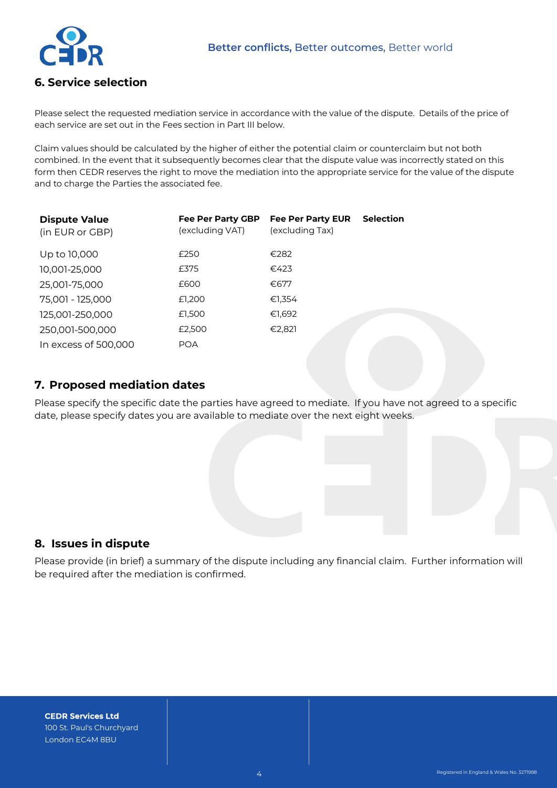

### **6. Service selection**

Please select the requested mediation service in accordance with the value of the dispute. Details of the price of each service are set out in the Fees section in Part III below.

Claim values should be calculated by the higher of either the potential claim or counterclaim but not both combined. In the event that it subsequently becomes clear that the dispute value was incorrectly stated on this form then CEDR reserves the right to move the mediation into the appropriate service for the value of the dispute and to charge the Parties the associated fee.

| <b>Dispute Value</b><br>(in EUR or GBP) | Fee Per Party GBP<br>(excluding VAT) | <b>Fee Per Party EUR</b><br>(excluding Tax) | <b>Selection</b> |
|-----------------------------------------|--------------------------------------|---------------------------------------------|------------------|
| Up to 10,000                            | £250                                 | €282                                        |                  |
| 10,001-25,000                           | £375                                 | €423                                        |                  |
| 25,001-75,000                           | £600                                 | €677                                        |                  |
| 75,001 - 125,000                        | £1,200                               | €1,354                                      |                  |
| 125,001-250,000                         | £1,500                               | €1,692                                      |                  |
| 250,001-500,000                         | £2,500                               | €2,821                                      |                  |
| In excess of 500,000                    | <b>POA</b>                           |                                             |                  |

#### **7. Proposed mediation dates**

Please specify the specific date the parties have agreed to mediate. If you have not agreed to a specific date, please specify dates you are available to mediate over the next eight weeks.

### **8. Issues in dispute**

Please provide (in brief) a summary of the dispute including any financial claim. Further information will be required after the mediation is confirmed.

**CEDR Services Ltd** 100 St. Paul's Churchyard London EC4M 8BU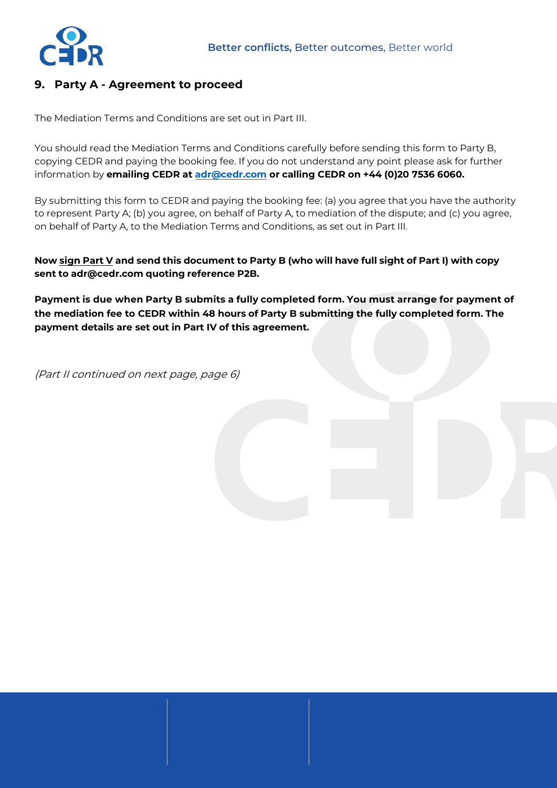

## **9. Party A - Agreement to proceed**

The Mediation Terms and Conditions are set out in Part III.

You should read the Mediation Terms and Conditions carefully before sending this form to Party B, copying CEDR and paying the booking fee. If you do not understand any point please ask for further information by **emailing CEDR at [adr@cedr.com](mailto:adr@cedr.com) or calling CEDR on +44 (0)20 7536 6060.**

By submitting this form to CEDR and paying the booking fee: (a) you agree that you have the authority to represent Party A; (b) you agree, on behalf of Party A, to mediation of the dispute; and (c) you agree, on behalf of Party A, to the Mediation Terms and Conditions, as set out in Part III.

**Now sign Part V and send this document to Party B (who will have full sight of Part I) with copy [sent to adr@ced](mailto:adr@cedr.com)r.com quoting reference P2B.**

**Payment is due when Party B submits a fully completed form. You must arrange for payment of the mediation fee to CEDR within 48 hours of Party B submitting the fully completed form. The payment details are set out in Part IV of this agreement.** 

(Part II continued on next page, page 6)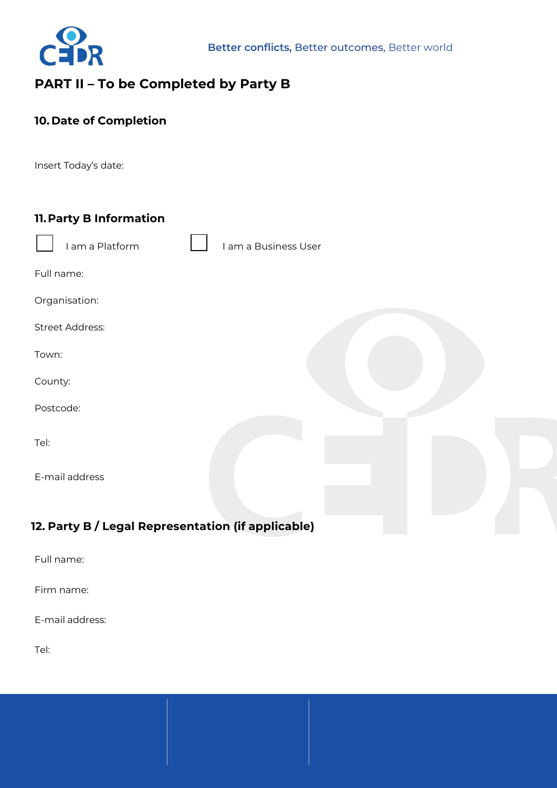

# **PART II – To be Completed by Party B**

## **10. Date of Completion**

Insert Today's date:

| 11. Party B Information                           |                      |
|---------------------------------------------------|----------------------|
| I am a Platform                                   | I am a Business User |
| Full name:                                        |                      |
| Organisation:                                     |                      |
| <b>Street Address:</b>                            |                      |
| Town:                                             |                      |
| County:                                           |                      |
| Postcode:                                         |                      |
| Tel:                                              |                      |
| E-mail address                                    |                      |
|                                                   |                      |
| 12 Party B / Legal Pepresentation (if applicable) |                      |

## **12. Party B / Legal Representation (if applicable)**

Full name:

Firm name:

E-mail address:

Tel: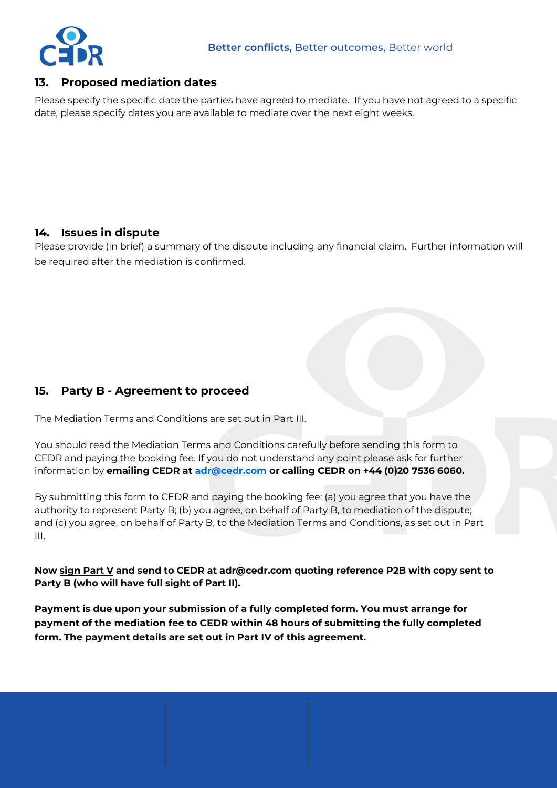

### **13. Proposed mediation dates**

Please specify the specific date the parties have agreed to mediate. If you have not agreed to a specific date, please specify dates you are available to mediate over the next eight weeks.

## **14. Issues in dispute**

Please provide (in brief) a summary of the dispute including any financial claim. Further information will be required after the mediation is confirmed.

## **15. Party B - Agreement to proceed**

The Mediation Terms and Conditions are set out in Part III.

You should read the Mediation Terms and Conditions carefully before sending this form to CEDR and paying the booking fee. If you do not understand any point please ask for further information by **emailing CEDR at [adr@cedr.com](mailto:adr@cedr.com) or calling CEDR on +44 (0)20 7536 6060.**

By submitting this form to CEDR and paying the booking fee: (a) you agree that you have the authority to represent Party B; (b) you agree, on behalf of Party B, to mediation of the dispute; and (c) you agree, on behalf of Party B, to the Mediation Terms and Conditions, as set out in Part III.

**Now sign Part V and send to CEDR at [adr@cedr.com](mailto:adr@cedr.com?subject=P2Bapplication) quoting reference P2B with copy sent to Party B (who will have full sight of Part II).**

**Payment is due upon your submission of a fully completed form. You must arrange for payment of the mediation fee to CEDR within 48 hours of submitting the fully completed form. The payment details are set out in Part IV of this agreement.**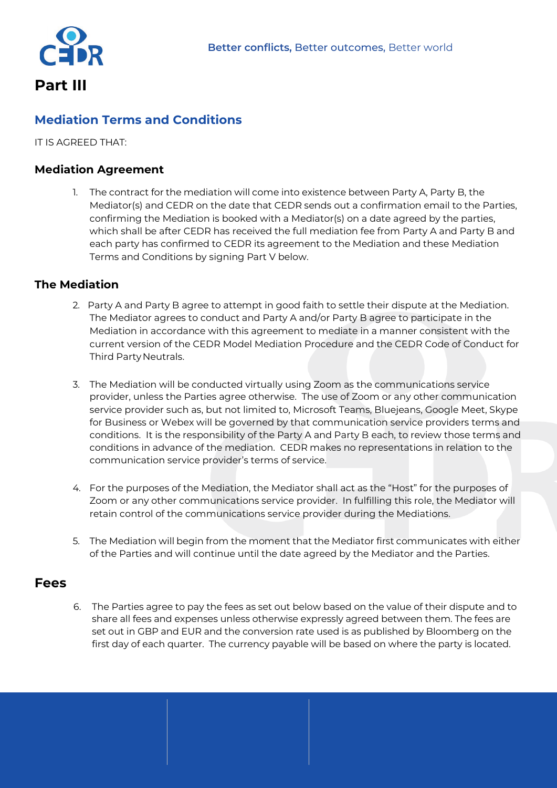

**Part III** 

## **Mediation Terms and Conditions**

IT IS AGREED THAT:

#### **Mediation Agreement**

1. The contract for the mediation will come into existence between Party A, Party B, the Mediator(s) and CEDR on the date that CEDR sends out a confirmation email to the Parties, confirming the Mediation is booked with a Mediator(s) on a date agreed by the parties, which shall be after CEDR has received the full mediation fee from Party A and Party B and each party has confirmed to CEDR its agreement to the Mediation and these Mediation Terms and Conditions by signing Part V below.

#### **The Mediation**

- 2. Party A and Party B agree to attempt in good faith to settle their dispute at the Mediation. The Mediator agrees to conduct and Party A and/or Party B agree to participate in the Mediation in accordance with this agreement to mediate in a manner consistent with the current version of the CEDR Model Mediation Procedure and the CEDR Code of Conduct for Third Party Neutrals.
- 3. The Mediation will be conducted virtually using Zoom as the communications service provider, unless the Parties agree otherwise. The use of Zoom or any other communication service provider such as, but not limited to, Microsoft Teams, Bluejeans, Google Meet, Skype for Business or Webex will be governed by that communication service providers terms and conditions. It is the responsibility of the Party A and Party B each, to review those terms and conditions in advance of the mediation. CEDR makes no representations in relation to the communication service provider's terms of service.
- 4. For the purposes of the Mediation, the Mediator shall act as the "Host" for the purposes of Zoom or any other communications service provider. In fulfilling this role, the Mediator will retain control of the communications service provider during the Mediations.
- 5. The Mediation will begin from the moment that the Mediator first communicates with either of the Parties and will continue until the date agreed by the Mediator and the Parties.

### **Fees**

The Parties agree to pay the fees as set out below based on the value of their dispute and to 6. share all fees and expenses unless otherwise expressly agreed between them. The fees are set out in GBP and EUR and the conversion rate used is as published by Bloomberg on the first day of each quarter. The currency payable will be based on where the party is located.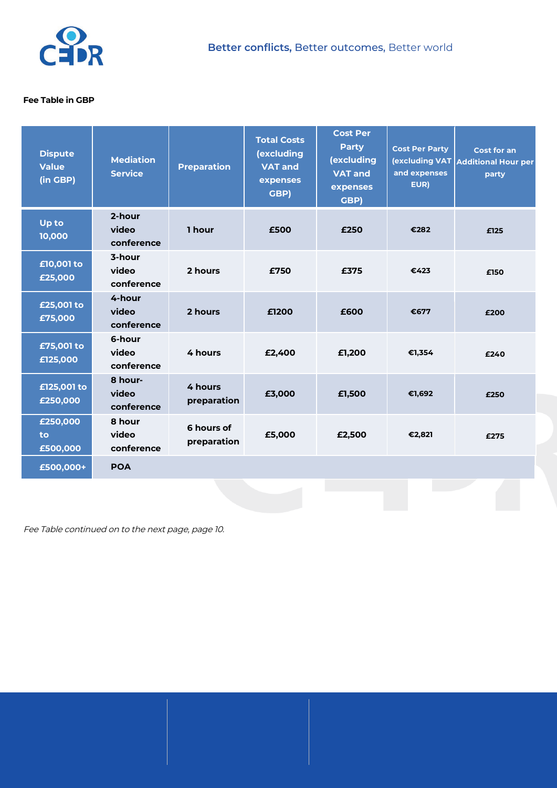

#### **Fee Table in GBP**

| <b>Dispute</b><br><b>Value</b><br>(in GBP) | <b>Mediation</b><br><b>Service</b> | <b>Preparation</b>        | <b>Total Costs</b><br>(excluding<br><b>VAT and</b><br>expenses<br>GBP) | <b>Cost Per</b><br><b>Party</b><br>(excluding<br><b>VAT and</b><br>expenses<br>GBP) | <b>Cost Per Party</b><br>and expenses<br>EUR) | <b>Cost for an</b><br><b>(excluding VAT Additional Hour per</b><br>party |
|--------------------------------------------|------------------------------------|---------------------------|------------------------------------------------------------------------|-------------------------------------------------------------------------------------|-----------------------------------------------|--------------------------------------------------------------------------|
| Up to<br>10,000                            | 2-hour<br>video<br>conference      | 1 hour                    | £500                                                                   | £250                                                                                | €282                                          | £125                                                                     |
| £10,001 to<br>£25,000                      | 3-hour<br>video<br>conference      | 2 hours                   | £750                                                                   | £375                                                                                | €423                                          | £150                                                                     |
| £25,001 to<br>£75,000                      | 4-hour<br>video<br>conference      | 2 hours                   | £1200                                                                  | £600                                                                                | €677                                          | £200                                                                     |
| £75,001 to<br>£125,000                     | 6-hour<br>video<br>conference      | 4 hours                   | £2,400                                                                 | £1,200                                                                              | €1,354                                        | £240                                                                     |
| £125,001 to<br>£250,000                    | 8 hour-<br>video<br>conference     | 4 hours<br>preparation    | £3,000                                                                 | £1,500                                                                              | €1,692                                        | £250                                                                     |
| £250,000<br>to<br>£500,000                 | 8 hour<br>video<br>conference      | 6 hours of<br>preparation | £5,000                                                                 | £2,500                                                                              | €2,821                                        | £275                                                                     |
| £500,000+                                  | <b>POA</b>                         |                           |                                                                        |                                                                                     |                                               |                                                                          |

Fee Table continued on to the next page, page 10.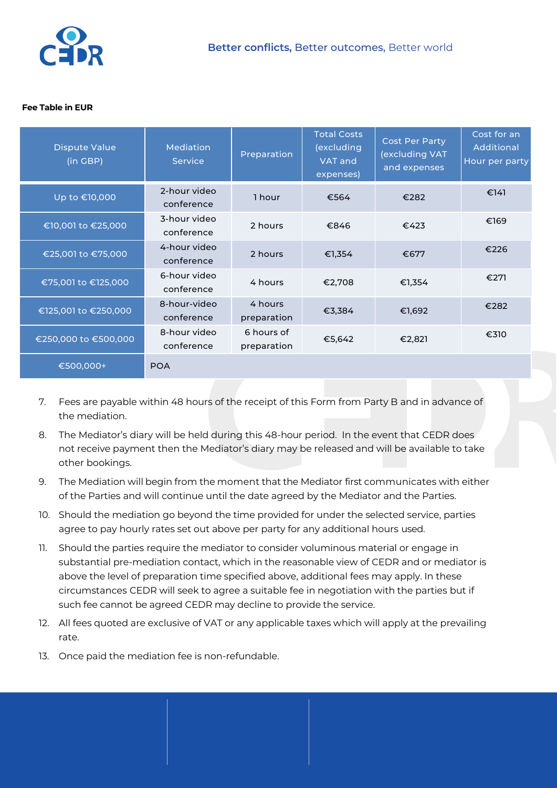

#### **Fee Table in EUR**

| <b>Dispute Value</b><br>(in GBP) | <b>Mediation</b><br><b>Service</b> | Preparation               | <b>Total Costs</b><br>(excluding<br><b>VAT and</b><br>expenses) | <b>Cost Per Party</b><br>(excluding VAT<br>and expenses | Cost for an<br><b>Additional</b><br>Hour per party |
|----------------------------------|------------------------------------|---------------------------|-----------------------------------------------------------------|---------------------------------------------------------|----------------------------------------------------|
| Up to €10,000                    | 2-hour video<br>conference         | 1 hour                    | €564                                                            | €282                                                    | €141                                               |
| €10,001 to €25,000               | 3-hour video<br>conference         | 2 hours                   | €846                                                            | €423                                                    | €169                                               |
| €25,001 to €75,000               | 4-hour video<br>conference         | 2 hours                   | €1,354                                                          | €677                                                    | €226                                               |
| €75,001 to €125,000              | 6-hour video<br>conference         | 4 hours                   | €2,708                                                          | €1,354                                                  | €271                                               |
| €125,001 to €250,000             | 8-hour-video<br>conference         | 4 hours<br>preparation    | €3,384                                                          | €1,692                                                  | €282                                               |
| €250,000 to €500,000             | 8-hour video<br>conference         | 6 hours of<br>preparation | €5,642                                                          | €2,821                                                  | €310                                               |
| €500,000+                        | <b>POA</b>                         |                           |                                                                 |                                                         |                                                    |

- 7. Fees are payable within 48 hours of the receipt of this Form from Party B and in advance of the mediation.
- 8. The Mediator's diary will be held during this 48-hour period. In the event that CEDR does not receive payment then the Mediator's diary may be released and will be available to take other bookings.
- 9. The Mediation will begin from the moment that the Mediator first communicates with either of the Parties and will continue until the date agreed by the Mediator and the Parties.
- 10. Should the mediation go beyond the time provided for under the selected service, parties agree to pay hourly rates set out above per party for any additional hours used.
- 11. Should the parties require the mediator to consider voluminous material or engage in substantial pre-mediation contact, which in the reasonable view of CEDR and or mediator is above the level of preparation time specified above, additional fees may apply. In these circumstances CEDR will seek to agree a suitable fee in negotiation with the parties but if such fee cannot be agreed CEDR may decline to provide the service.
- 12. All fees quoted are exclusive of VAT or any applicable taxes which will apply at the prevailing rate.
- 13. Once paid the mediation fee is non-refundable.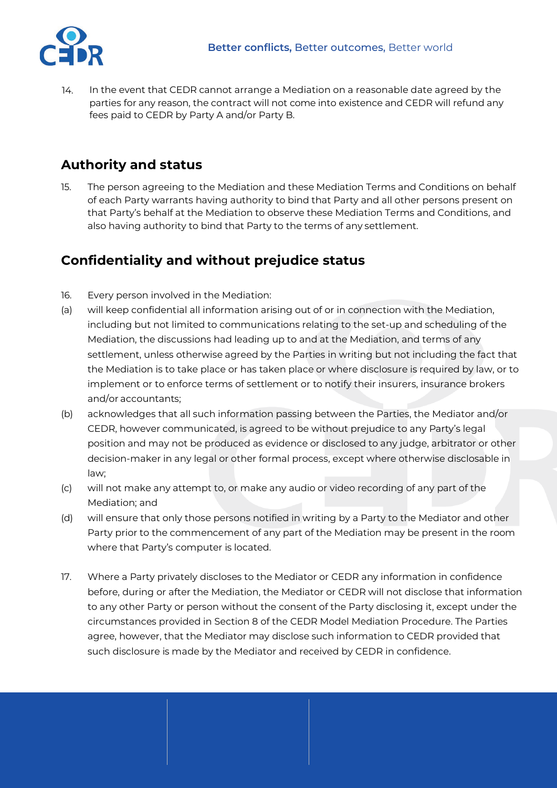In the event that CEDR cannot arrange a Mediation on a reasonable date agreed by the parties for any reason, the contract will not come into existence and CEDR will refund any fees paid to CEDR by Party A and/or Party B. 14.

# **Authority and status**

15. The person agreeing to the Mediation and these Mediation Terms and Conditions on behalf of each Party warrants having authority to bind that Party and all other persons present on that Party's behalf at the Mediation to observe these Mediation Terms and Conditions, and also having authority to bind that Party to the terms of any settlement.

# **Confidentiality and without prejudice status**

- 16. Every person involved in the Mediation:
- (a) will keep confidential all information arising out of or in connection with the Mediation, including but not limited to communications relating to the set-up and scheduling of the Mediation, the discussions had leading up to and at the Mediation, and terms of any settlement, unless otherwise agreed by the Parties in writing but not including the fact that the Mediation is to take place or has taken place or where disclosure is required by law, or to implement or to enforce terms of settlement or to notify their insurers, insurance brokers and/or accountants;
- (b) acknowledges that all such information passing between the Parties, the Mediator and/or CEDR, however communicated, is agreed to be without prejudice to any Party's legal position and may not be produced as evidence or disclosed to any judge, arbitrator or other decision-maker in any legal or other formal process, except where otherwise disclosable in law;
- (c) will not make any attempt to, or make any audio or video recording of any part of the Mediation; and
- (d) will ensure that only those persons notified in writing by a Party to the Mediator and other Party prior to the commencement of any part of the Mediation may be present in the room where that Party's computer is located.
- 17. Where a Party privately discloses to the Mediator or CEDR any information in confidence before, during or after the Mediation, the Mediator or CEDR will not disclose that information to any other Party or person without the consent of the Party disclosing it, except under the circumstances provided in Section 8 of the CEDR Model Mediation Procedure. The Parties agree, however, that the Mediator may disclose such information to CEDR provided that such disclosure is made by the Mediator and received by CEDR in confidence.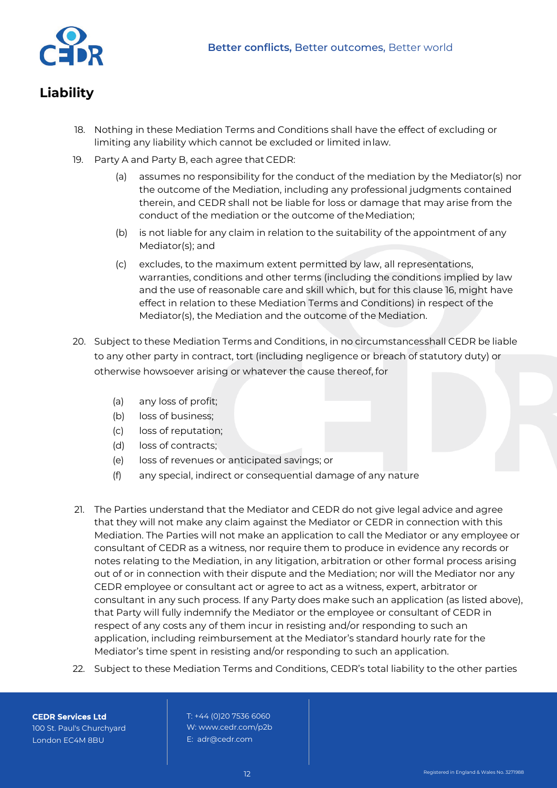

# **Liability**

- 18. Nothing in these Mediation Terms and Conditions shall have the effect of excluding or limiting any liability which cannot be excluded or limited inlaw.
- 19. Party A and Party B, each agree that CEDR:
	- (a) assumes no responsibility for the conduct of the mediation by the Mediator(s) nor the outcome of the Mediation, including any professional judgments contained therein, and CEDR shall not be liable for loss or damage that may arise from the conduct of the mediation or the outcome of theMediation;
	- (b) is not liable for any claim in relation to the suitability of the appointment of any Mediator(s); and
	- (c) excludes, to the maximum extent permitted by law, all representations, warranties, conditions and other terms (including the conditions implied by law and the use of reasonable care and skill which, but for this clause 16, might have effect in relation to these Mediation Terms and Conditions) in respect of the Mediator(s), the Mediation and the outcome of the Mediation.
- 20. Subject to these Mediation Terms and Conditions, in no circumstancesshall CEDR be liable to any other party in contract, tort (including negligence or breach of statutory duty) or otherwise howsoever arising or whatever the cause thereof, for
	- (a) any loss of profit;
	- (b) loss of business;
	- (c) loss of reputation;
	- (d) loss of contracts;
	- (e) loss of revenues or anticipated savings; or
	- (f) any special, indirect or consequential damage of any nature
- 21. The Parties understand that the Mediator and CEDR do not give legal advice and agree that they will not make any claim against the Mediator or CEDR in connection with this Mediation. The Parties will not make an application to call the Mediator or any employee or consultant of CEDR as a witness, nor require them to produce in evidence any records or notes relating to the Mediation, in any litigation, arbitration or other formal process arising out of or in connection with their dispute and the Mediation; nor will the Mediator nor any CEDR employee or consultant act or agree to act as a witness, expert, arbitrator or consultant in any such process. If any Party does make such an application (as listed above), that Party will fully indemnify the Mediator or the employee or consultant of CEDR in respect of any costs any of them incur in resisting and/or responding to such an application, including reimbursement at the Mediator's standard hourly rate for the Mediator's time spent in resisting and/or responding to such an application.
- 22. Subject to these Mediation Terms and Conditions, CEDR's total liability to the other parties

**CEDR Services Ltd** 100 St. Paul's Churchyard London EC4M 8BU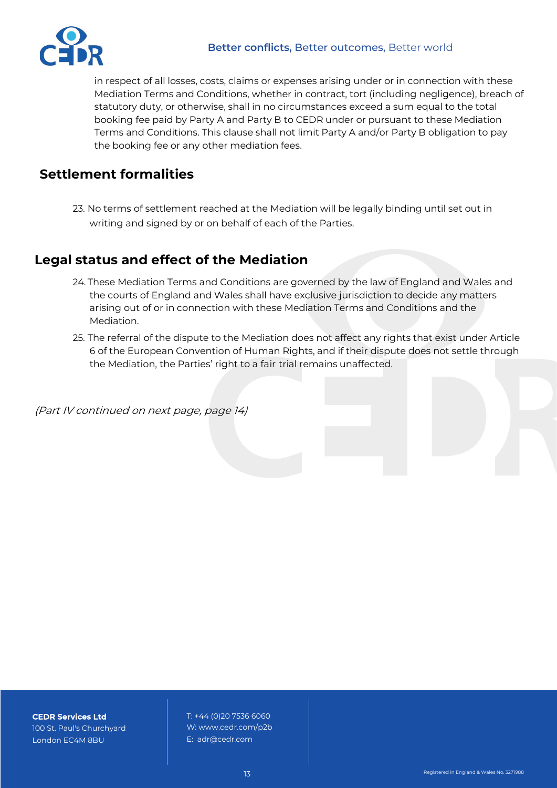

in respect of all losses, costs, claims or expenses arising under or in connection with these Mediation Terms and Conditions, whether in contract, tort (including negligence), breach of statutory duty, or otherwise, shall in no circumstances exceed a sum equal to the total booking fee paid by Party A and Party B to CEDR under or pursuant to these Mediation Terms and Conditions. This clause shall not limit Party A and/or Party B obligation to pay the booking fee or any other mediation fees.

## **Settlement formalities**

23. No terms of settlement reached at the Mediation will be legally binding until set out in writing and signed by or on behalf of each of the Parties.

## **Legal status and effect of the Mediation**

- 24. These Mediation Terms and Conditions are governed by the law of England and Wales and the courts of England and Wales shall have exclusive jurisdiction to decide any matters arising out of or in connection with these Mediation Terms and Conditions and the Mediation.
- 25. The referral of the dispute to the Mediation does not affect any rights that exist under Article 6 of the European Convention of Human Rights, and if their dispute does not settle through the Mediation, the Parties' right to a fair trial remains unaffected.

(Part IV continued on next page, page 14)

**CEDR Services Ltd** 100 St. Paul's Churchyard London EC4M 8BU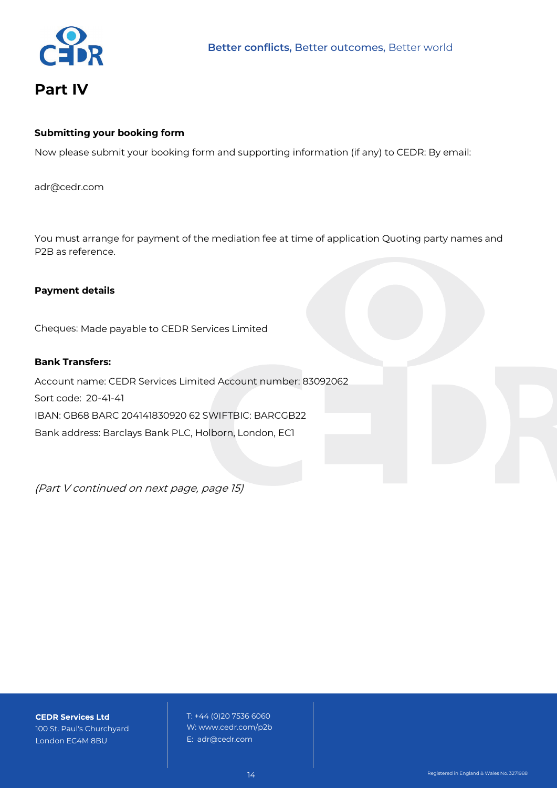

# **Part IV**

#### **Submitting your booking form**

Now please submit your booking form and supporting information (if any) to CEDR: By email:

[adr@cedr.com](mailto:adr@cedr.com?subject=p2b application)

You must arrange for payment of the mediation fee at time of application Quoting party names and P2B as reference.

#### **Payment details**

Cheques: Made payable to CEDR Services Limited

#### **Bank Transfers:**

Account name: CEDR Services Limited Account number: 83092062 Sort code: 20-41-41 IBAN: GB68 BARC 204141830920 62 SWIFTBIC: BARCGB22 Bank address: Barclays Bank PLC, Holborn, London, EC1

(Part V continued on next page, page 15)

**CEDR Services Ltd** 100 St. Paul's Churchyard London EC4M 8BU